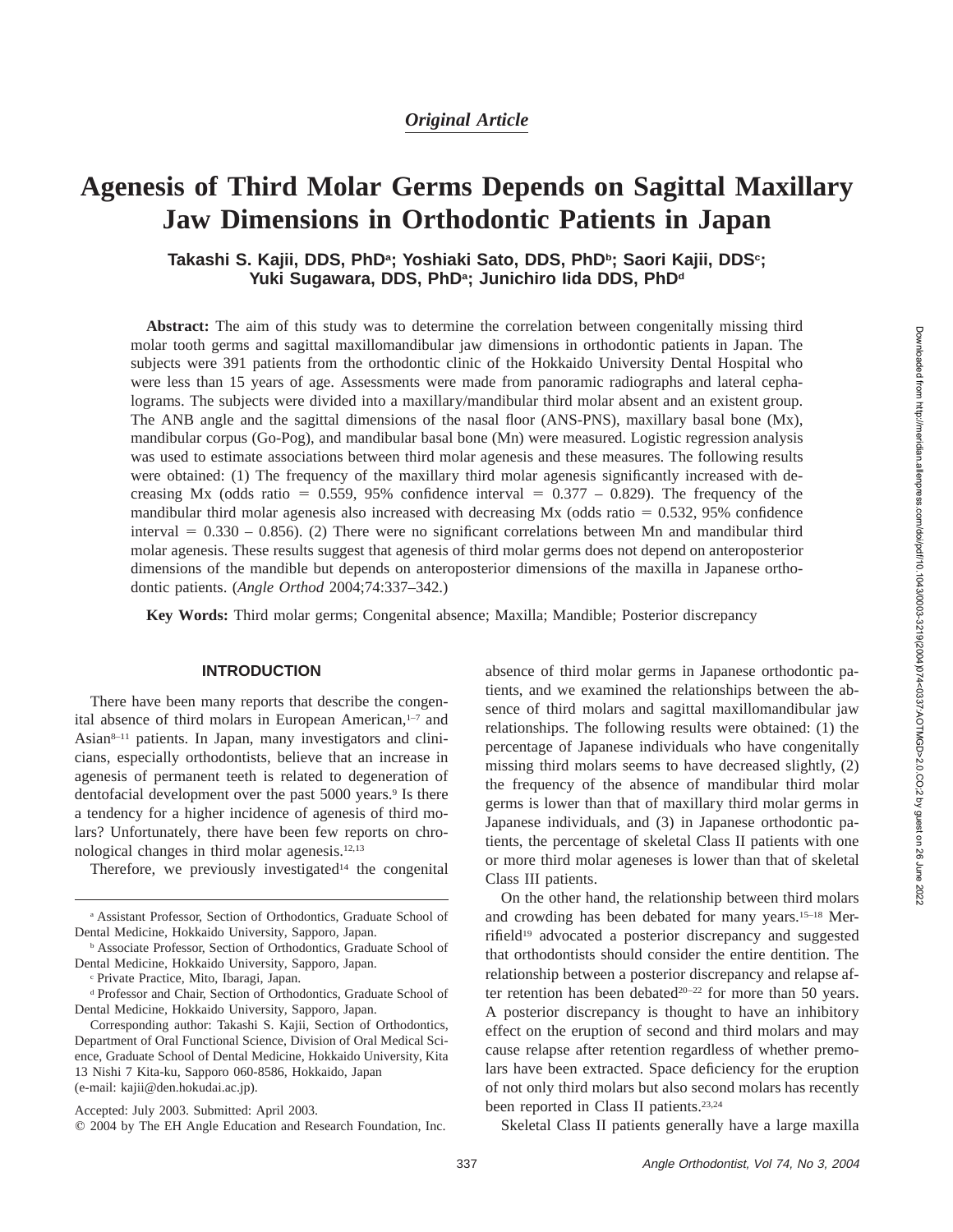# **Agenesis of Third Molar Germs Depends on Sagittal Maxillary Jaw Dimensions in Orthodontic Patients in Japan**

# **Takashi S. Kajii, DDS, PhDa; Yoshiaki Sato, DDS, PhDb; Saori Kajii, DDSc;** Yuki Sugawara, DDS, PhD<sup>a</sup>; Junichiro Iida DDS, PhD<sup>d</sup>

**Abstract:** The aim of this study was to determine the correlation between congenitally missing third molar tooth germs and sagittal maxillomandibular jaw dimensions in orthodontic patients in Japan. The subjects were 391 patients from the orthodontic clinic of the Hokkaido University Dental Hospital who were less than 15 years of age. Assessments were made from panoramic radiographs and lateral cephalograms. The subjects were divided into a maxillary/mandibular third molar absent and an existent group. The ANB angle and the sagittal dimensions of the nasal floor (ANS-PNS), maxillary basal bone (Mx), mandibular corpus (Go-Pog), and mandibular basal bone (Mn) were measured. Logistic regression analysis was used to estimate associations between third molar agenesis and these measures. The following results were obtained: (1) The frequency of the maxillary third molar agenesis significantly increased with decreasing Mx (odds ratio = 0.559, 95% confidence interval =  $0.377 - 0.829$ ). The frequency of the mandibular third molar agenesis also increased with decreasing  $Mx$  (odds ratio = 0.532, 95% confidence interval  $= 0.330 - 0.856$ . (2) There were no significant correlations between Mn and mandibular third molar agenesis. These results suggest that agenesis of third molar germs does not depend on anteroposterior dimensions of the mandible but depends on anteroposterior dimensions of the maxilla in Japanese orthodontic patients. (*Angle Orthod* 2004;74:337–342.)

**Key Words:** Third molar germs; Congenital absence; Maxilla; Mandible; Posterior discrepancy

### **INTRODUCTION**

There have been many reports that describe the congenital absence of third molars in European American,<sup>1-7</sup> and Asian<sup>8–11</sup> patients. In Japan, many investigators and clinicians, especially orthodontists, believe that an increase in agenesis of permanent teeth is related to degeneration of dentofacial development over the past 5000 years.<sup>9</sup> Is there a tendency for a higher incidence of agenesis of third molars? Unfortunately, there have been few reports on chronological changes in third molar agenesis.12,13

Therefore, we previously investigated<sup>14</sup> the congenital

absence of third molar germs in Japanese orthodontic patients, and we examined the relationships between the absence of third molars and sagittal maxillomandibular jaw relationships. The following results were obtained: (1) the percentage of Japanese individuals who have congenitally missing third molars seems to have decreased slightly, (2) the frequency of the absence of mandibular third molar germs is lower than that of maxillary third molar germs in Japanese individuals, and (3) in Japanese orthodontic patients, the percentage of skeletal Class II patients with one or more third molar ageneses is lower than that of skeletal Class III patients.

On the other hand, the relationship between third molars and crowding has been debated for many years.15–18 Merrifield<sup>19</sup> advocated a posterior discrepancy and suggested that orthodontists should consider the entire dentition. The relationship between a posterior discrepancy and relapse after retention has been debated<sup>20-22</sup> for more than 50 years. A posterior discrepancy is thought to have an inhibitory effect on the eruption of second and third molars and may cause relapse after retention regardless of whether premolars have been extracted. Space deficiency for the eruption of not only third molars but also second molars has recently been reported in Class II patients.<sup>23,24</sup>

Skeletal Class II patients generally have a large maxilla

<sup>a</sup> Assistant Professor, Section of Orthodontics, Graduate School of Dental Medicine, Hokkaido University, Sapporo, Japan.

<sup>b</sup> Associate Professor, Section of Orthodontics, Graduate School of Dental Medicine, Hokkaido University, Sapporo, Japan.

<sup>c</sup> Private Practice, Mito, Ibaragi, Japan.

<sup>d</sup> Professor and Chair, Section of Orthodontics, Graduate School of Dental Medicine, Hokkaido University, Sapporo, Japan.

Corresponding author: Takashi S. Kajii, Section of Orthodontics, Department of Oral Functional Science, Division of Oral Medical Science, Graduate School of Dental Medicine, Hokkaido University, Kita 13 Nishi 7 Kita-ku, Sapporo 060-8586, Hokkaido, Japan (e-mail: kajii@den.hokudai.ac.jp).

Accepted: July 2003. Submitted: April 2003.

 $Q$  2004 by The EH Angle Education and Research Foundation, Inc.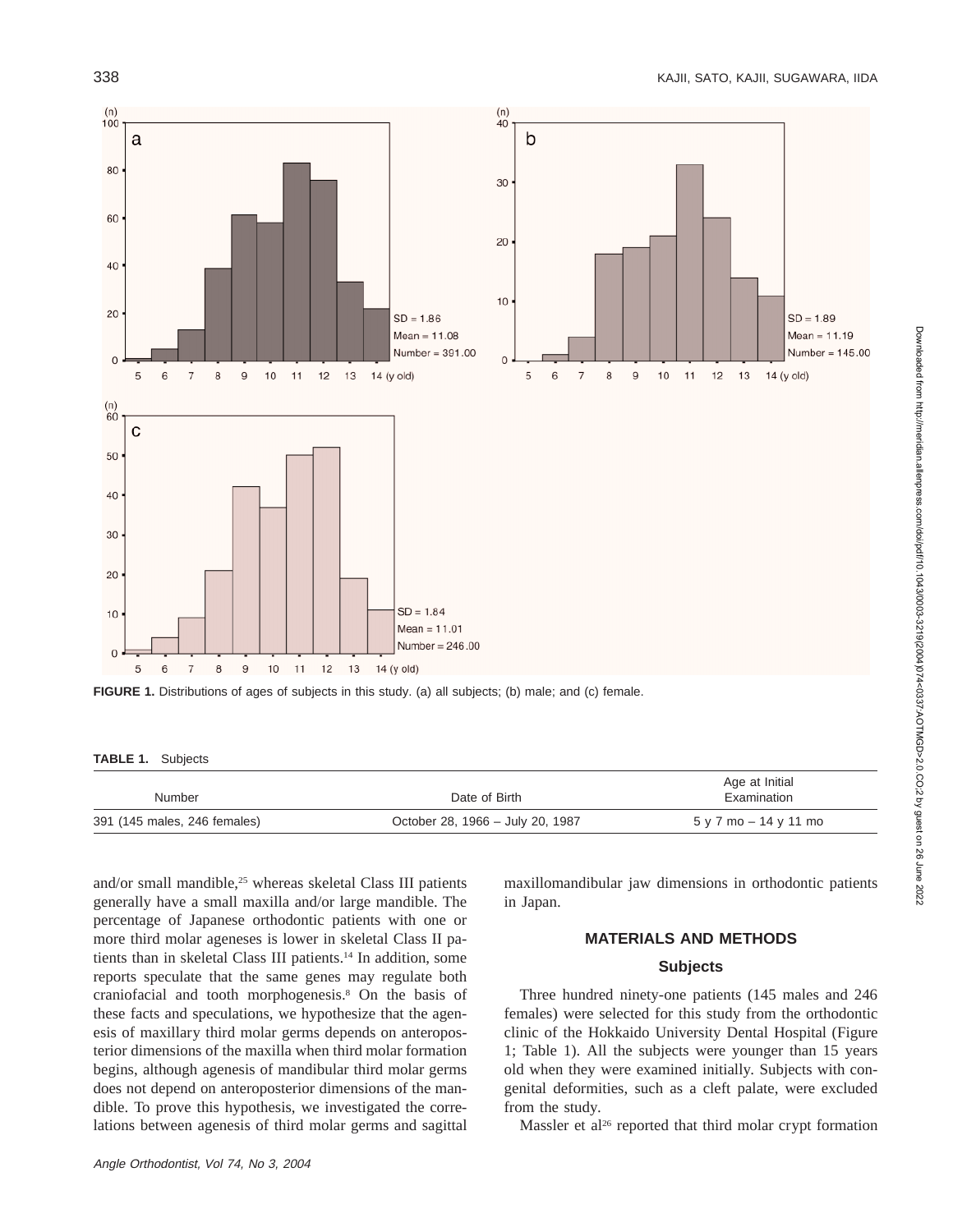

**FIGURE 1.** Distributions of ages of subjects in this study. (a) all subjects; (b) male; and (c) female.

#### **TABLE 1.** Subjects

| Number                       | Date of Birth                    | Age at Initial<br>Examination |
|------------------------------|----------------------------------|-------------------------------|
| 391 (145 males, 246 females) | October 28, 1966 - July 20, 1987 | 5 y 7 mo – 14 y 11 mo         |

and/or small mandible,<sup>25</sup> whereas skeletal Class III patients generally have a small maxilla and/or large mandible. The percentage of Japanese orthodontic patients with one or more third molar ageneses is lower in skeletal Class II patients than in skeletal Class III patients.14 In addition, some reports speculate that the same genes may regulate both craniofacial and tooth morphogenesis.8 On the basis of these facts and speculations, we hypothesize that the agenesis of maxillary third molar germs depends on anteroposterior dimensions of the maxilla when third molar formation begins, although agenesis of mandibular third molar germs does not depend on anteroposterior dimensions of the mandible. To prove this hypothesis, we investigated the correlations between agenesis of third molar germs and sagittal

maxillomandibular jaw dimensions in orthodontic patients in Japan.

## **MATERIALS AND METHODS**

## **Subjects**

Three hundred ninety-one patients (145 males and 246 females) were selected for this study from the orthodontic clinic of the Hokkaido University Dental Hospital (Figure 1; Table 1). All the subjects were younger than 15 years old when they were examined initially. Subjects with congenital deformities, such as a cleft palate, were excluded from the study.

Massler et al<sup>26</sup> reported that third molar crypt formation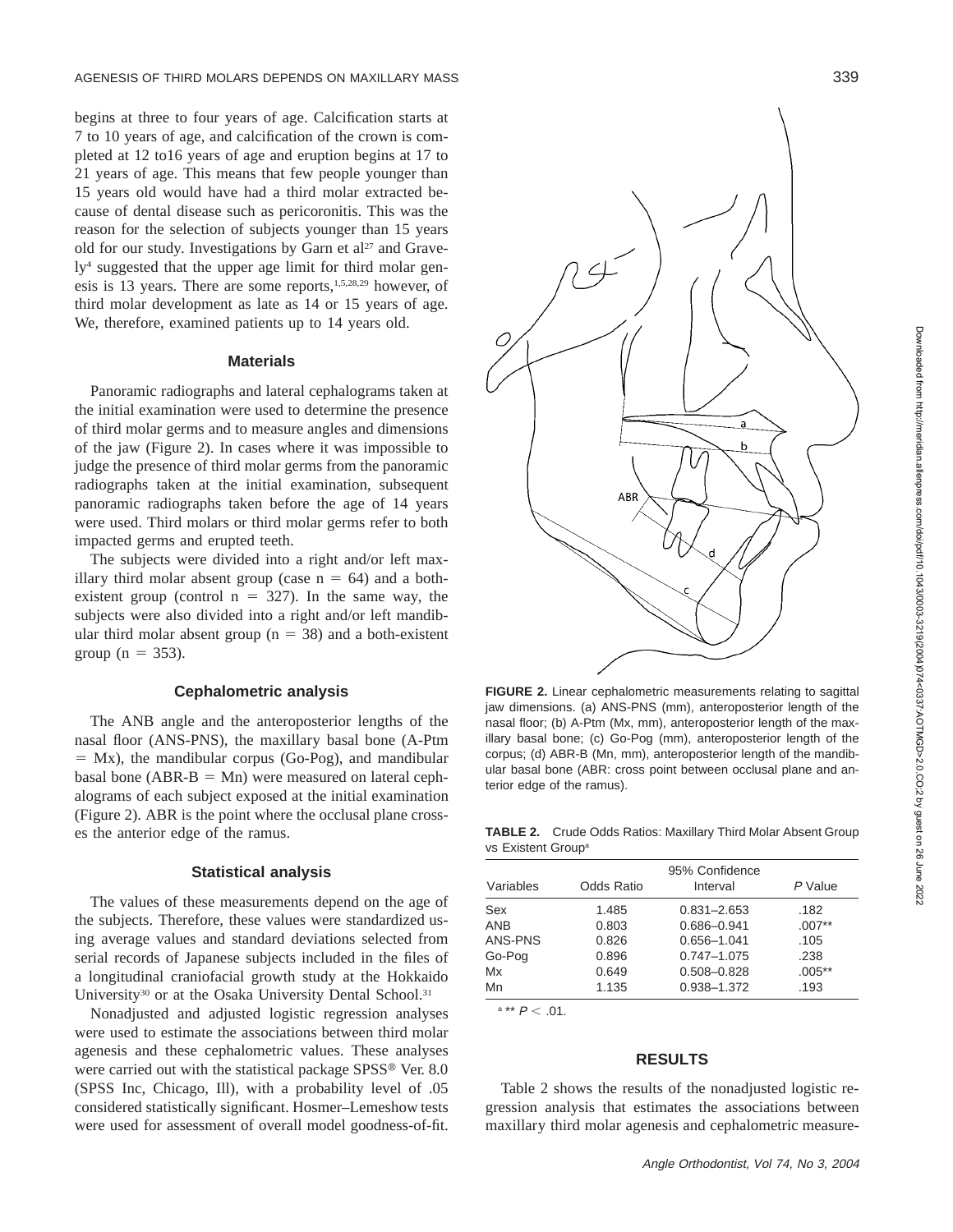begins at three to four years of age. Calcification starts at 7 to 10 years of age, and calcification of the crown is completed at 12 to16 years of age and eruption begins at 17 to 21 years of age. This means that few people younger than 15 years old would have had a third molar extracted because of dental disease such as pericoronitis. This was the reason for the selection of subjects younger than 15 years old for our study. Investigations by Garn et al<sup>27</sup> and Gravely4 suggested that the upper age limit for third molar genesis is 13 years. There are some reports,1,5,28,29 however, of third molar development as late as 14 or 15 years of age. We, therefore, examined patients up to 14 years old.

#### **Materials**

Panoramic radiographs and lateral cephalograms taken at the initial examination were used to determine the presence of third molar germs and to measure angles and dimensions of the jaw (Figure 2). In cases where it was impossible to judge the presence of third molar germs from the panoramic radiographs taken at the initial examination, subsequent panoramic radiographs taken before the age of 14 years were used. Third molars or third molar germs refer to both impacted germs and erupted teeth.

The subjects were divided into a right and/or left maxillary third molar absent group (case  $n = 64$ ) and a bothexistent group (control  $n = 327$ ). In the same way, the subjects were also divided into a right and/or left mandibular third molar absent group ( $n = 38$ ) and a both-existent group ( $n = 353$ ).

#### **Cephalometric analysis**

The ANB angle and the anteroposterior lengths of the nasal floor (ANS-PNS), the maxillary basal bone (A-Ptm  $=$  Mx), the mandibular corpus (Go-Pog), and mandibular basal bone ( $ABR-B = Mn$ ) were measured on lateral cephalograms of each subject exposed at the initial examination (Figure 2). ABR is the point where the occlusal plane crosses the anterior edge of the ramus.

#### **Statistical analysis**

The values of these measurements depend on the age of the subjects. Therefore, these values were standardized using average values and standard deviations selected from serial records of Japanese subjects included in the files of a longitudinal craniofacial growth study at the Hokkaido University<sup>30</sup> or at the Osaka University Dental School.<sup>31</sup>

Nonadjusted and adjusted logistic regression analyses were used to estimate the associations between third molar agenesis and these cephalometric values. These analyses were carried out with the statistical package SPSS® Ver. 8.0 (SPSS Inc, Chicago, Ill), with a probability level of .05 considered statistically significant. Hosmer–Lemeshow tests were used for assessment of overall model goodness-of-fit.



**FIGURE 2.** Linear cephalometric measurements relating to sagittal jaw dimensions. (a) ANS-PNS (mm), anteroposterior length of the nasal floor; (b) A-Ptm (Mx, mm), anteroposterior length of the maxillary basal bone; (c) Go-Pog (mm), anteroposterior length of the corpus; (d) ABR-B (Mn, mm), anteroposterior length of the mandibular basal bone (ABR: cross point between occlusal plane and anterior edge of the ramus).

**TABLE 2.** Crude Odds Ratios: Maxillary Third Molar Absent Group vs Existent Groupa

| Variables  | <b>Odds Ratio</b> | 95% Confidence<br>Interval | P Value  |
|------------|-------------------|----------------------------|----------|
| Sex        | 1.485             | $0.831 - 2.653$            | .182     |
| <b>ANB</b> | 0.803             | $0.686 - 0.941$            | $.007**$ |
| ANS-PNS    | 0.826             | $0.656 - 1.041$            | .105     |
| Go-Pog     | 0.896             | $0.747 - 1.075$            | .238     |
| Mx         | 0.649             | $0.508 - 0.828$            | $.005**$ |
| Mn         | 1.135             | 0.938-1.372                | .193     |

 $a** P < .01$ .

#### **RESULTS**

Table 2 shows the results of the nonadjusted logistic regression analysis that estimates the associations between maxillary third molar agenesis and cephalometric measure-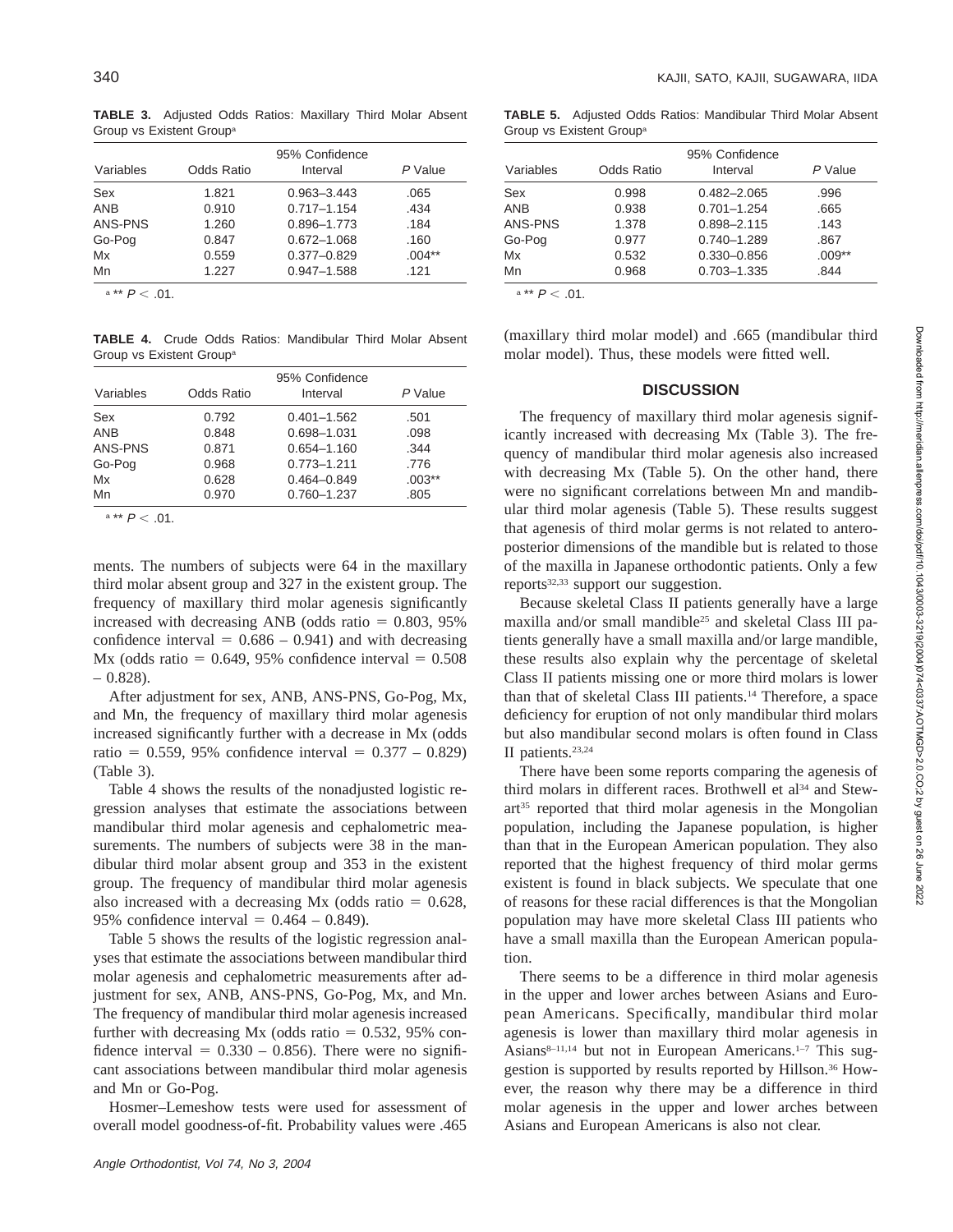**TABLE 3.** Adjusted Odds Ratios: Maxillary Third Molar Absent Group vs Existent Group<sup>®</sup>

| Variables         | Odds Ratio     | 95% Confidence<br>Interval         | P Value          |
|-------------------|----------------|------------------------------------|------------------|
| Sex<br><b>ANB</b> | 1.821<br>0.910 | 0.963-3.443<br>$0.717 - 1.154$     | .065<br>.434     |
| ANS-PNS           | 1.260          | 0.896-1.773                        | .184             |
| Go-Pog<br>Mx      | 0.847<br>0.559 | $0.672 - 1.068$<br>$0.377 - 0.829$ | .160<br>$.004**$ |
| Mn                | 1.227          | $0.947 - 1.588$                    | .121             |

 $a** P < .01$ .

**TABLE 4.** Crude Odds Ratios: Mandibular Third Molar Absent Group vs Existent Groupa

| Variables  | <b>Odds Ratio</b> | 95% Confidence<br>Interval | P Value  |
|------------|-------------------|----------------------------|----------|
| Sex        | 0.792             | $0.401 - 1.562$            | .501     |
| <b>ANB</b> | 0.848             | 0.698-1.031                | .098     |
| ANS-PNS    | 0.871             | 0.654-1.160                | .344     |
| Go-Pog     | 0.968             | $0.773 - 1.211$            | .776     |
| Mx         | 0.628             | $0.464 - 0.849$            | $.003**$ |
| Mn         | 0.970             | 0.760-1.237                | .805     |

 $a ** P < .01$ .

ments. The numbers of subjects were 64 in the maxillary third molar absent group and 327 in the existent group. The frequency of maxillary third molar agenesis significantly increased with decreasing ANB (odds ratio  $= 0.803, 95\%$ confidence interval  $= 0.686 - 0.941$  and with decreasing Mx (odds ratio =  $0.649$ , 95% confidence interval =  $0.508$  $-0.828$ ).

After adjustment for sex, ANB, ANS-PNS, Go-Pog, Mx, and Mn, the frequency of maxillary third molar agenesis increased significantly further with a decrease in Mx (odds ratio = 0.559, 95% confidence interval =  $0.377 - 0.829$ ) (Table 3).

Table 4 shows the results of the nonadjusted logistic regression analyses that estimate the associations between mandibular third molar agenesis and cephalometric measurements. The numbers of subjects were 38 in the mandibular third molar absent group and 353 in the existent group. The frequency of mandibular third molar agenesis also increased with a decreasing Mx (odds ratio  $= 0.628$ , 95% confidence interval =  $0.464 - 0.849$ .

Table 5 shows the results of the logistic regression analyses that estimate the associations between mandibular third molar agenesis and cephalometric measurements after adjustment for sex, ANB, ANS-PNS, Go-Pog, Mx, and Mn. The frequency of mandibular third molar agenesis increased further with decreasing Mx (odds ratio  $= 0.532, 95\%$  confidence interval =  $0.330 - 0.856$ ). There were no significant associations between mandibular third molar agenesis and Mn or Go-Pog.

Hosmer–Lemeshow tests were used for assessment of overall model goodness-of-fit. Probability values were .465

**TABLE 5.** Adjusted Odds Ratios: Mandibular Third Molar Absent Group vs Existent Groupa

| <b>Odds Ratio</b> | 95% Confidence<br>Interval | P Value  |
|-------------------|----------------------------|----------|
| 0.998             | $0.482 - 2.065$            | .996     |
| 0.938             | $0.701 - 1.254$            | .665     |
| 1.378             | $0.898 - 2.115$            | .143     |
| 0.977             | $0.740 - 1.289$            | .867     |
| 0.532             | $0.330 - 0.856$            | $.009**$ |
| 0.968             | $0.703 - 1.335$            | .844     |
|                   |                            |          |

 $a** P < .01$ .

(maxillary third molar model) and .665 (mandibular third molar model). Thus, these models were fitted well.

#### **DISCUSSION**

The frequency of maxillary third molar agenesis significantly increased with decreasing Mx (Table 3). The frequency of mandibular third molar agenesis also increased with decreasing Mx (Table 5). On the other hand, there were no significant correlations between Mn and mandibular third molar agenesis (Table 5). These results suggest that agenesis of third molar germs is not related to anteroposterior dimensions of the mandible but is related to those of the maxilla in Japanese orthodontic patients. Only a few reports32,33 support our suggestion.

Because skeletal Class II patients generally have a large maxilla and/or small mandible<sup>25</sup> and skeletal Class III patients generally have a small maxilla and/or large mandible, these results also explain why the percentage of skeletal Class II patients missing one or more third molars is lower than that of skeletal Class III patients.14 Therefore, a space deficiency for eruption of not only mandibular third molars but also mandibular second molars is often found in Class II patients.<sup>23,24</sup>

There have been some reports comparing the agenesis of third molars in different races. Brothwell et al<sup>34</sup> and Stewart<sup>35</sup> reported that third molar agenesis in the Mongolian population, including the Japanese population, is higher than that in the European American population. They also reported that the highest frequency of third molar germs existent is found in black subjects. We speculate that one of reasons for these racial differences is that the Mongolian population may have more skeletal Class III patients who have a small maxilla than the European American population.

There seems to be a difference in third molar agenesis in the upper and lower arches between Asians and European Americans. Specifically, mandibular third molar agenesis is lower than maxillary third molar agenesis in Asians<sup>8-11,14</sup> but not in European Americans.<sup>1-7</sup> This suggestion is supported by results reported by Hillson.<sup>36</sup> However, the reason why there may be a difference in third molar agenesis in the upper and lower arches between Asians and European Americans is also not clear.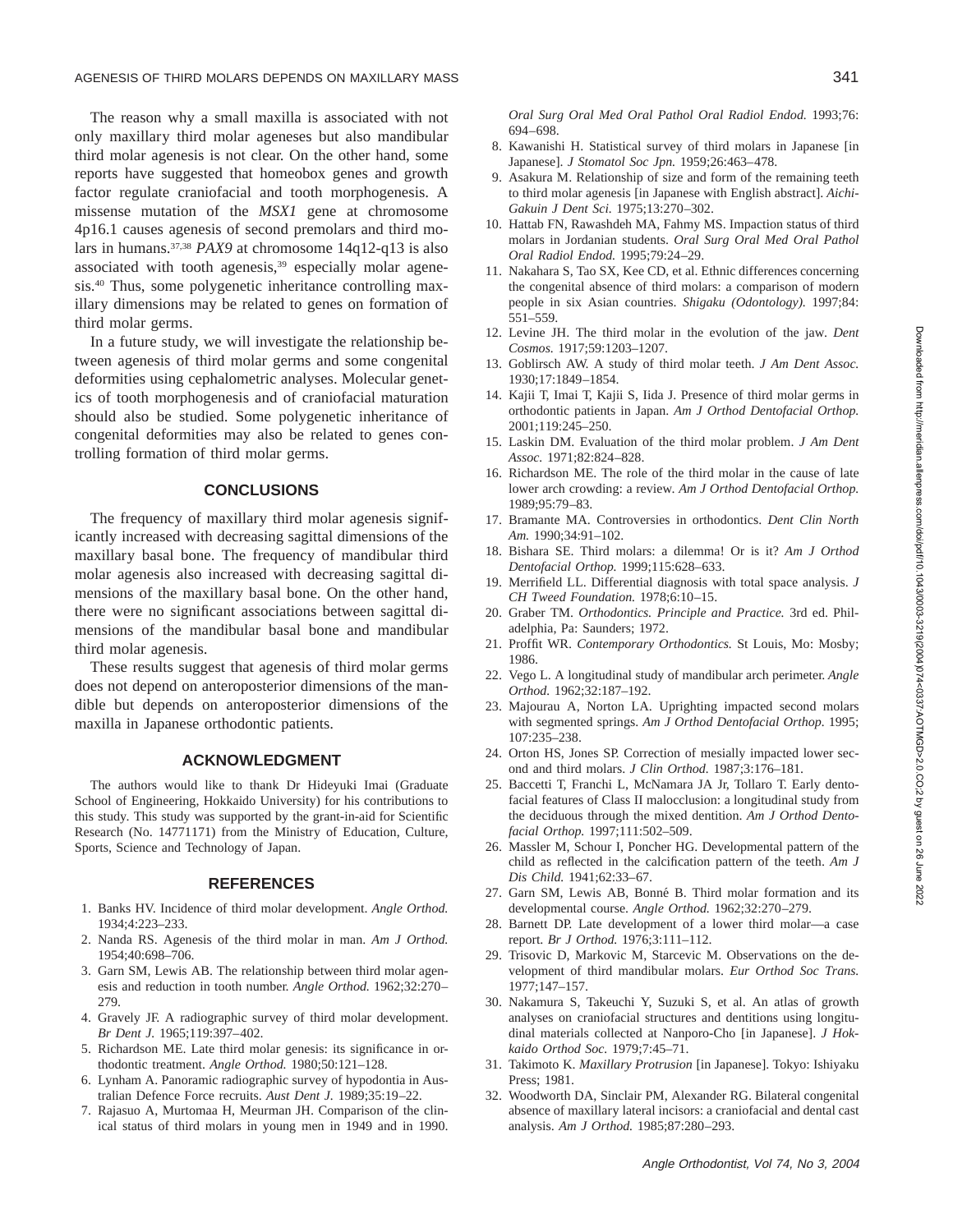The reason why a small maxilla is associated with not only maxillary third molar ageneses but also mandibular third molar agenesis is not clear. On the other hand, some reports have suggested that homeobox genes and growth factor regulate craniofacial and tooth morphogenesis. A missense mutation of the *MSX1* gene at chromosome 4p16.1 causes agenesis of second premolars and third molars in humans.37,38 *PAX9* at chromosome 14q12-q13 is also associated with tooth agenesis,39 especially molar agenesis.40 Thus, some polygenetic inheritance controlling maxillary dimensions may be related to genes on formation of third molar germs.

In a future study, we will investigate the relationship between agenesis of third molar germs and some congenital deformities using cephalometric analyses. Molecular genetics of tooth morphogenesis and of craniofacial maturation should also be studied. Some polygenetic inheritance of congenital deformities may also be related to genes controlling formation of third molar germs.

## **CONCLUSIONS**

The frequency of maxillary third molar agenesis significantly increased with decreasing sagittal dimensions of the maxillary basal bone. The frequency of mandibular third molar agenesis also increased with decreasing sagittal dimensions of the maxillary basal bone. On the other hand, there were no significant associations between sagittal dimensions of the mandibular basal bone and mandibular third molar agenesis.

These results suggest that agenesis of third molar germs does not depend on anteroposterior dimensions of the mandible but depends on anteroposterior dimensions of the maxilla in Japanese orthodontic patients.

#### **ACKNOWLEDGMENT**

The authors would like to thank Dr Hideyuki Imai (Graduate School of Engineering, Hokkaido University) for his contributions to this study. This study was supported by the grant-in-aid for Scientific Research (No. 14771171) from the Ministry of Education, Culture, Sports, Science and Technology of Japan.

#### **REFERENCES**

- 1. Banks HV. Incidence of third molar development. *Angle Orthod.* 1934;4:223–233.
- 2. Nanda RS. Agenesis of the third molar in man. *Am J Orthod.* 1954;40:698–706.
- 3. Garn SM, Lewis AB. The relationship between third molar agenesis and reduction in tooth number. *Angle Orthod.* 1962;32:270– 279.
- 4. Gravely JF. A radiographic survey of third molar development. *Br Dent J.* 1965;119:397–402.
- 5. Richardson ME. Late third molar genesis: its significance in orthodontic treatment. *Angle Orthod.* 1980;50:121–128.
- 6. Lynham A. Panoramic radiographic survey of hypodontia in Australian Defence Force recruits. *Aust Dent J.* 1989;35:19–22.
- 7. Rajasuo A, Murtomaa H, Meurman JH. Comparison of the clinical status of third molars in young men in 1949 and in 1990.
- 8. Kawanishi H. Statistical survey of third molars in Japanese [in Japanese]. *J Stomatol Soc Jpn.* 1959;26:463–478.
- 9. Asakura M. Relationship of size and form of the remaining teeth to third molar agenesis [in Japanese with English abstract]. *Aichi-Gakuin J Dent Sci.* 1975;13:270–302.
- 10. Hattab FN, Rawashdeh MA, Fahmy MS. Impaction status of third molars in Jordanian students. *Oral Surg Oral Med Oral Pathol Oral Radiol Endod.* 1995;79:24–29.
- 11. Nakahara S, Tao SX, Kee CD, et al. Ethnic differences concerning the congenital absence of third molars: a comparison of modern people in six Asian countries. *Shigaku (Odontology).* 1997;84: 551–559.
- 12. Levine JH. The third molar in the evolution of the jaw. *Dent Cosmos.* 1917;59:1203–1207.
- 13. Goblirsch AW. A study of third molar teeth. *J Am Dent Assoc.* 1930;17:1849–1854.
- 14. Kajii T, Imai T, Kajii S, Iida J. Presence of third molar germs in orthodontic patients in Japan. *Am J Orthod Dentofacial Orthop.* 2001;119:245–250.
- 15. Laskin DM. Evaluation of the third molar problem. *J Am Dent Assoc.* 1971;82:824–828.
- 16. Richardson ME. The role of the third molar in the cause of late lower arch crowding: a review. *Am J Orthod Dentofacial Orthop.* 1989;95:79–83.
- 17. Bramante MA. Controversies in orthodontics. *Dent Clin North Am.* 1990;34:91–102.
- 18. Bishara SE. Third molars: a dilemma! Or is it? *Am J Orthod Dentofacial Orthop.* 1999;115:628–633.
- 19. Merrifield LL. Differential diagnosis with total space analysis. *J CH Tweed Foundation.* 1978;6:10–15.
- 20. Graber TM. *Orthodontics. Principle and Practice.* 3rd ed. Philadelphia, Pa: Saunders; 1972.
- 21. Proffit WR. *Contemporary Orthodontics.* St Louis, Mo: Mosby; 1986.
- 22. Vego L. A longitudinal study of mandibular arch perimeter. *Angle Orthod.* 1962;32:187–192.
- 23. Majourau A, Norton LA. Uprighting impacted second molars with segmented springs. *Am J Orthod Dentofacial Orthop.* 1995; 107:235–238.
- 24. Orton HS, Jones SP. Correction of mesially impacted lower second and third molars. *J Clin Orthod.* 1987;3:176–181.
- 25. Baccetti T, Franchi L, McNamara JA Jr, Tollaro T. Early dentofacial features of Class II malocclusion: a longitudinal study from the deciduous through the mixed dentition. *Am J Orthod Dentofacial Orthop.* 1997;111:502–509.
- 26. Massler M, Schour I, Poncher HG. Developmental pattern of the child as reflected in the calcification pattern of the teeth. *Am J Dis Child.* 1941;62:33–67.
- 27. Garn SM, Lewis AB, Bonné B. Third molar formation and its developmental course. *Angle Orthod.* 1962;32:270–279.
- 28. Barnett DP. Late development of a lower third molar—a case report. *Br J Orthod.* 1976;3:111–112.
- 29. Trisovic D, Markovic M, Starcevic M. Observations on the development of third mandibular molars. *Eur Orthod Soc Trans.* 1977;147–157.
- 30. Nakamura S, Takeuchi Y, Suzuki S, et al. An atlas of growth analyses on craniofacial structures and dentitions using longitudinal materials collected at Nanporo-Cho [in Japanese]. *J Hokkaido Orthod Soc.* 1979;7:45–71.
- 31. Takimoto K. *Maxillary Protrusion* [in Japanese]. Tokyo: Ishiyaku Press; 1981.
- 32. Woodworth DA, Sinclair PM, Alexander RG. Bilateral congenital absence of maxillary lateral incisors: a craniofacial and dental cast analysis. *Am J Orthod.* 1985;87:280–293.